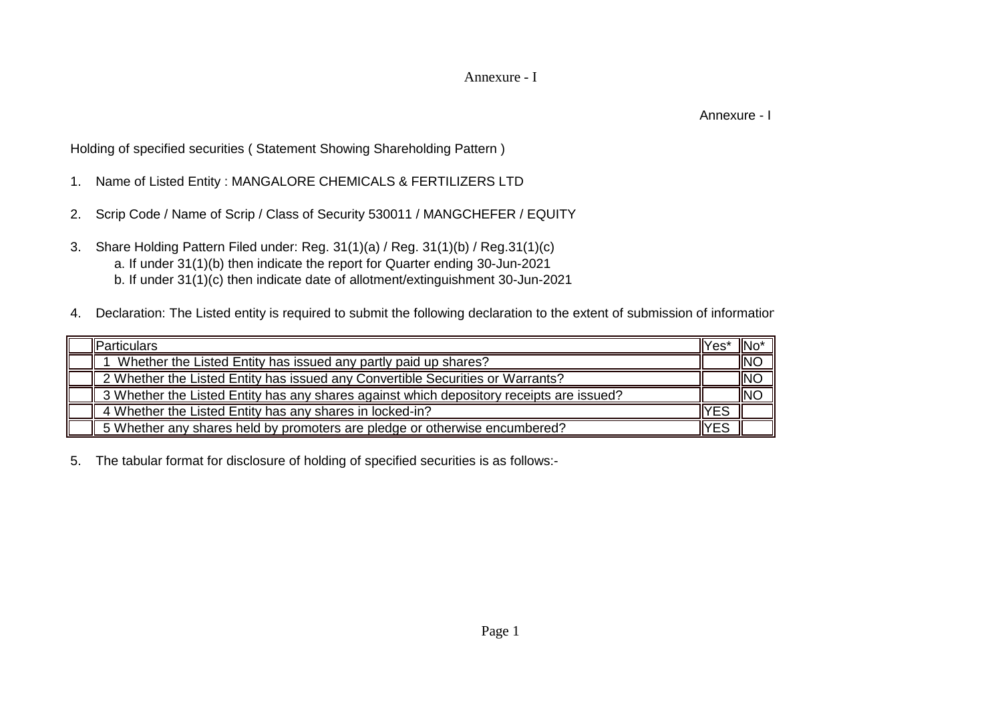## Annexure - I

Annexure - I

Holding of specified securities ( Statement Showing Shareholding Pattern )

- 1. Name of Listed Entity : MANGALORE CHEMICALS & FERTILIZERS LTD
- 2. Scrip Code / Name of Scrip / Class of Security 530011 / MANGCHEFER / EQUITY
- 3. Share Holding Pattern Filed under: Reg. 31(1)(a) / Reg. 31(1)(b) / Reg.31(1)(c) a. If under 31(1)(b) then indicate the report for Quarter ending 30-Jun-2021 b. If under 31(1)(c) then indicate date of allotment/extinguishment 30-Jun-2021
- 4. Declaration: The Listed entity is required to submit the following declaration to the extent of submission of informatior

| Particulars                                                                              | lYes' | ¶No <sup>∙</sup> |
|------------------------------------------------------------------------------------------|-------|------------------|
| Whether the Listed Entity has issued any partly paid up shares?                          |       | INC              |
| 2 Whether the Listed Entity has issued any Convertible Securities or Warrants?           |       | INC              |
| 3 Whether the Listed Entity has any shares against which depository receipts are issued? |       | <b>INC</b>       |
| 4 Whether the Listed Entity has any shares in locked-in?                                 | YES   |                  |
| 5 Whether any shares held by promoters are pledge or otherwise encumbered?               | YES   |                  |

5. The tabular format for disclosure of holding of specified securities is as follows:-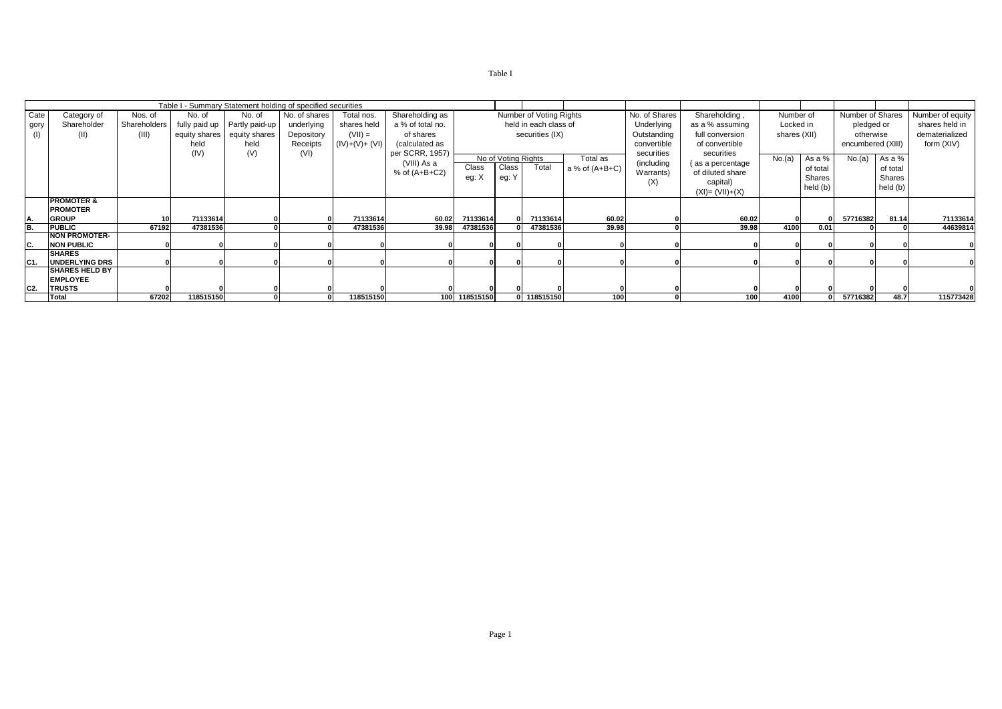|      |                       |              |               | Table I - Summary Statement holding of specified securities |               |                 |                   |               |                     |                         |                  |               |                    |              |          |                   |          |                  |
|------|-----------------------|--------------|---------------|-------------------------------------------------------------|---------------|-----------------|-------------------|---------------|---------------------|-------------------------|------------------|---------------|--------------------|--------------|----------|-------------------|----------|------------------|
|      |                       |              |               |                                                             |               |                 |                   |               |                     |                         |                  |               |                    |              |          |                   |          |                  |
| Cate | Category of           | Nos. of      | No. of        | No. of                                                      | No. of shares | Total nos.      | Shareholding as   |               |                     | Number of Voting Rights |                  | No. of Shares | Shareholding,      | Number of    |          | Number of Shares  |          | Number of equity |
| gory | Shareholder           | Shareholders |               | ully paid up Partly paid-up                                 | underlying    | shares held     | a % of total no.  |               |                     | held in each class of   |                  | Underlying    | as a % assuming    | Locked in    |          | pledged or        |          | shares held in   |
| (1)  | (II)                  | (III)        | equity shares | equity shares                                               | Depository    | $(VII) =$       | of shares         |               |                     | securities (IX)         |                  | Outstanding   | full conversion    | shares (XII) |          | otherwise         |          | dematerialized   |
|      |                       |              | held          | held                                                        | Receipts      | $(IV)+(V)+(VI)$ | (calculated as    |               |                     |                         |                  | convertible   | of convertible     |              |          | encumbered (XIII) |          | form (XIV)       |
|      |                       |              | (IV)          |                                                             |               |                 | per SCRR, 1957)   |               |                     |                         |                  | securities    | securities         |              |          |                   |          |                  |
|      |                       |              |               | (V)                                                         | (VI)          |                 |                   |               | No of Voting Rights |                         | Total as         |               |                    | No.(a)       | As a %   | No.(a)            | As a %   |                  |
|      |                       |              |               |                                                             |               |                 | (VIII) As a       | Class         | Class               | Total                   | a % of $(A+B+C)$ | (including    | (as a percentage   |              | of total |                   | of total |                  |
|      |                       |              |               |                                                             |               |                 | $%$ of $(A+B+C2)$ | eg: X         | eg: Y               |                         |                  | Warrants)     | of diluted share   |              | Shares   |                   | Shares   |                  |
|      |                       |              |               |                                                             |               |                 |                   |               |                     |                         |                  | (X)           | capital)           |              |          |                   |          |                  |
|      |                       |              |               |                                                             |               |                 |                   |               |                     |                         |                  |               | $(XI) = (VII)+(X)$ |              | held (b) |                   | held (b) |                  |
|      | <b>PROMOTER &amp;</b> |              |               |                                                             |               |                 |                   |               |                     |                         |                  |               |                    |              |          |                   |          |                  |
|      | <b>PROMOTER</b>       |              |               |                                                             |               |                 |                   |               |                     |                         |                  |               |                    |              |          |                   |          |                  |
| A.   | <b>GROUP</b>          | 10           | 71133614      |                                                             |               | 71133614        | 60.02             | 71133614      |                     | 71133614                | 60.02            |               | 60.02              |              |          | 57716382          | 81.14    | 71133614         |
| IB.  | <b>PUBLIC</b>         | 67192        | 47381536      |                                                             |               | 47381536        | 39.98             | 47381536      |                     | 47381536                | 39.98            |               | 39.98              | 4100         | 0.01     |                   |          | 44639814         |
|      | <b>NON PROMOTER-</b>  |              |               |                                                             |               |                 |                   |               |                     |                         |                  |               |                    |              |          |                   |          |                  |
|      |                       |              |               |                                                             |               |                 |                   |               |                     |                         |                  |               |                    |              |          |                   |          |                  |
| IC.  | <b>NON PUBLIC</b>     |              |               |                                                             |               |                 |                   |               |                     |                         |                  |               |                    |              |          |                   |          |                  |
|      | <b>SHARES</b>         |              |               |                                                             |               |                 |                   |               |                     |                         |                  |               |                    |              |          |                   |          |                  |
| C1.  | <b>UNDERLYING DRS</b> |              |               |                                                             |               |                 |                   |               |                     |                         |                  |               |                    |              |          |                   |          |                  |
|      | <b>SHARES HELD BY</b> |              |               |                                                             |               |                 |                   |               |                     |                         |                  |               |                    |              |          |                   |          |                  |
|      | <b>EMPLOYEE</b>       |              |               |                                                             |               |                 |                   |               |                     |                         |                  |               |                    |              |          |                   |          |                  |
| C2   | <b>TRUSTS</b>         |              |               |                                                             |               |                 |                   |               |                     |                         |                  |               |                    |              |          |                   |          |                  |
|      | Total                 | 67202        | 118515150     |                                                             |               | 118515150       |                   | 100 118515150 |                     | 0 118515150             | 100              |               | 100                | 4100         |          | 57716382          | 48.7     | 115773428        |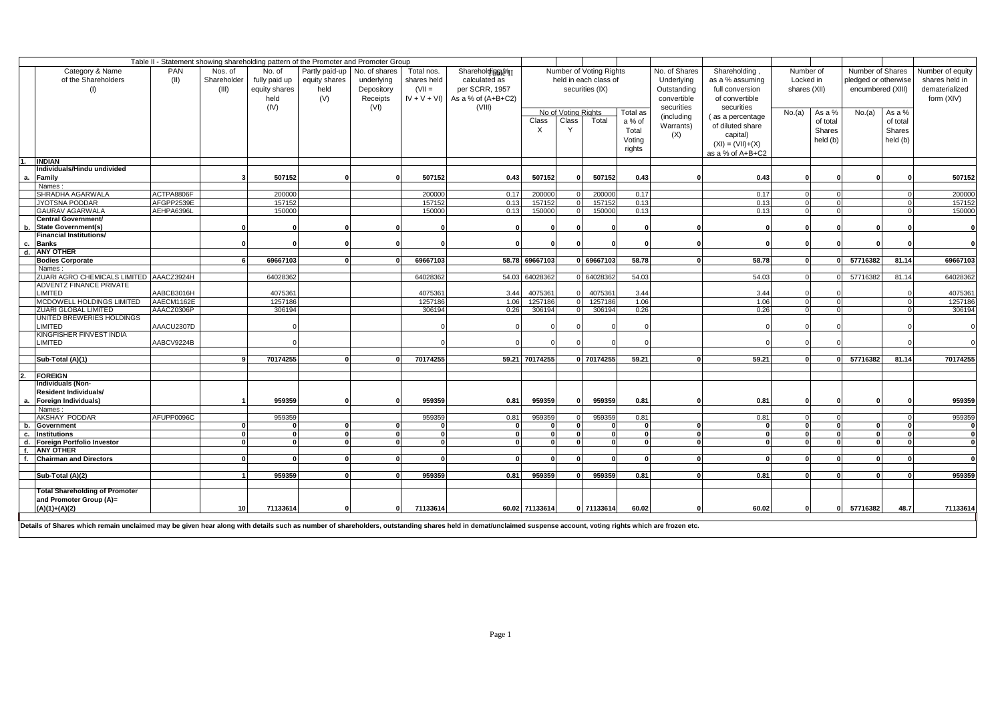|                                                                                                                                                                                                                |                                                                           |              |                    | Table II - Statement showing shareholding pattern of the Promoter and Promoter Group |            |                    |                    |                         |                     |                       |              |                               |                    |                 |                  |                                   |                  |                    |
|----------------------------------------------------------------------------------------------------------------------------------------------------------------------------------------------------------------|---------------------------------------------------------------------------|--------------|--------------------|--------------------------------------------------------------------------------------|------------|--------------------|--------------------|-------------------------|---------------------|-----------------------|--------------|-------------------------------|--------------------|-----------------|------------------|-----------------------------------|------------------|--------------------|
| Category & Name                                                                                                                                                                                                | PAN<br>Nos. of<br>No. of<br>Partly paid-up<br>No. of shares<br>Total nos. |              |                    |                                                                                      |            |                    | Shareholding@41    | Number of Voting Rights |                     |                       |              | No. of Shares<br>Shareholding | Number of          |                 | Number of Shares |                                   | Number of equity |                    |
| of the Shareholders                                                                                                                                                                                            | (II)                                                                      | Shareholder  | fully paid up      | equity shares                                                                        | underlying | shares held        | calculated as      |                         |                     | held in each class of |              | Underlying                    |                    | as a % assuming |                  | Locked in<br>pledged or otherwise |                  | shares held in     |
|                                                                                                                                                                                                                |                                                                           | (III)        | equity shares      | held                                                                                 | Depository | $(VII =$           | per SCRR, 1957     |                         |                     | securities (IX)       |              | Outstanding                   | full conversion    | shares (XII)    |                  | encumbered (XIII)                 |                  | dematerialized     |
|                                                                                                                                                                                                                |                                                                           |              | held               | (V)                                                                                  | Receipts   | $IV + V + VI$      | As a % of (A+B+C2) |                         |                     |                       |              | convertible                   | of convertible     |                 |                  |                                   |                  | form (XIV)         |
|                                                                                                                                                                                                                |                                                                           |              | (IV)               |                                                                                      | (VI)       |                    | (VIII)             |                         |                     |                       |              | securities                    | securities         |                 |                  |                                   |                  |                    |
|                                                                                                                                                                                                                |                                                                           |              |                    |                                                                                      |            |                    |                    |                         | No of Voting Rights |                       | Total as     | (including                    | (as a percentage   | No.(a)          | As a %           | No.(a)                            | As a %           |                    |
|                                                                                                                                                                                                                |                                                                           |              |                    |                                                                                      |            |                    |                    | Class                   | Class               | Total                 | a % of       | Warrants)                     | of diluted share   |                 | of total         |                                   | of total         |                    |
|                                                                                                                                                                                                                |                                                                           |              |                    |                                                                                      |            |                    |                    | $\times$                | Y                   |                       | Total        |                               |                    |                 | <b>Shares</b>    |                                   | Shares           |                    |
|                                                                                                                                                                                                                |                                                                           |              |                    |                                                                                      |            |                    |                    |                         |                     |                       | Voting       | (X)                           | capital)           |                 | held (b)         |                                   | held (b)         |                    |
|                                                                                                                                                                                                                |                                                                           |              |                    |                                                                                      |            |                    |                    |                         |                     |                       | rights       |                               | $(XI) = (VII)+(X)$ |                 |                  |                                   |                  |                    |
| <b>INDIAN</b>                                                                                                                                                                                                  |                                                                           |              |                    |                                                                                      |            |                    |                    |                         |                     |                       |              |                               | as a % of A+B+C2   |                 |                  |                                   |                  |                    |
| Individuals/Hindu undivided                                                                                                                                                                                    |                                                                           |              |                    |                                                                                      |            |                    |                    |                         |                     |                       |              |                               |                    |                 |                  |                                   |                  |                    |
| Family<br>а.                                                                                                                                                                                                   |                                                                           |              | 507152             |                                                                                      |            | 507152             | 0.43               | 507152                  |                     | 507152                | 0.43         |                               | 0.43               | $\Omega$        |                  |                                   |                  | 507152             |
| Names:                                                                                                                                                                                                         |                                                                           |              |                    |                                                                                      |            |                    |                    |                         |                     |                       |              |                               |                    |                 |                  |                                   |                  |                    |
| SHRADHA AGARWALA                                                                                                                                                                                               | ACTPA8806F                                                                |              | 200000             |                                                                                      |            | 200000             | 0.17               | 200000                  |                     | 200000                | 0.17         |                               | 0.17               |                 |                  |                                   |                  | 200000             |
| <b>JYOTSNA PODDAR</b>                                                                                                                                                                                          | AFGPP2539E                                                                |              | 157152             |                                                                                      |            | 157152             | 0.13               | 157152                  |                     | 157152                | 0.13         |                               | 0.13               | $\Omega$        | $\Omega$         |                                   | $\Omega$         | 157152             |
| GAURAV AGARWALA                                                                                                                                                                                                | AEHPA6396L                                                                |              | 150000             |                                                                                      |            | 150000             | 0.13               | 150000                  |                     | 150000                | 0.13         |                               | 0.13               |                 | $\Omega$         |                                   |                  | 150000             |
| Central Government/                                                                                                                                                                                            |                                                                           |              |                    |                                                                                      |            |                    |                    |                         |                     |                       |              |                               |                    |                 |                  |                                   |                  |                    |
| <b>State Government(s)</b><br>b.                                                                                                                                                                               |                                                                           |              |                    |                                                                                      |            |                    |                    |                         |                     |                       |              |                               |                    | $\Omega$        |                  |                                   |                  | 0                  |
| <b>Financial Institutions/</b>                                                                                                                                                                                 |                                                                           |              |                    |                                                                                      |            |                    |                    |                         |                     |                       |              |                               |                    |                 |                  |                                   |                  |                    |
| <b>Banks</b><br>c.                                                                                                                                                                                             |                                                                           |              |                    |                                                                                      |            |                    |                    |                         |                     |                       |              |                               |                    | $\Omega$        |                  |                                   |                  | $\Omega$           |
| <b>ANY OTHER</b><br>d.                                                                                                                                                                                         |                                                                           |              |                    |                                                                                      |            |                    |                    |                         |                     |                       |              |                               |                    |                 |                  |                                   |                  |                    |
| <b>Bodies Corporate</b>                                                                                                                                                                                        |                                                                           |              | 69667103           |                                                                                      |            | 69667103           |                    | 58.78 69667103          |                     | 0 69667103            | 58.78        |                               | 58.78              |                 |                  | 0 57716382                        | 81.14            | 69667103           |
| Names:                                                                                                                                                                                                         |                                                                           |              |                    |                                                                                      |            |                    |                    |                         |                     |                       |              |                               |                    |                 |                  |                                   |                  |                    |
| ZUARI AGRO CHEMICALS LIMITED AAACZ3924H                                                                                                                                                                        |                                                                           |              | 64028362           |                                                                                      |            | 64028362           |                    | 54.03 64028362          |                     | 0 64028362            | 54.03        |                               | 54.03              |                 |                  | 57716382                          | 81.14            | 64028362           |
| <b>ADVENTZ FINANCE PRIVATE</b>                                                                                                                                                                                 |                                                                           |              |                    |                                                                                      |            |                    |                    |                         |                     |                       |              |                               |                    |                 |                  |                                   |                  |                    |
| <b>IMITED</b><br>MCDOWELL HOLDINGS LIMITED                                                                                                                                                                     | AABCB3016H<br>AAECM1162E                                                  |              | 4075361<br>1257186 |                                                                                      |            | 4075361<br>1257186 | 3.44<br>1.06       | 4075361<br>1257186      |                     | 4075361<br>1257186    | 3.44<br>1.06 |                               | 3.44<br>1.06       |                 | $\Omega$         |                                   |                  | 4075361<br>1257186 |
| ZUARI GLOBAL LIMITED                                                                                                                                                                                           | AAACZ0306P                                                                |              | 306194             |                                                                                      |            | 306194             | 0.26               | 306194                  |                     | 306194                | 0.26         |                               | 0.26               | $\Omega$        | $\Omega$         |                                   | $\Omega$         | 306194             |
| UNITED BREWERIES HOLDINGS                                                                                                                                                                                      |                                                                           |              |                    |                                                                                      |            |                    |                    |                         |                     |                       |              |                               |                    |                 |                  |                                   |                  |                    |
| <b>IMITED</b>                                                                                                                                                                                                  | AAACU2307D                                                                |              |                    |                                                                                      |            |                    |                    |                         |                     |                       |              |                               |                    | $\Omega$        |                  |                                   |                  | $\Omega$           |
| KINGFISHER FINVEST INDIA                                                                                                                                                                                       |                                                                           |              |                    |                                                                                      |            |                    |                    |                         |                     |                       |              |                               |                    |                 |                  |                                   |                  |                    |
| LIMITED                                                                                                                                                                                                        | AABCV9224B                                                                |              |                    |                                                                                      |            |                    |                    |                         |                     |                       |              |                               |                    |                 |                  |                                   |                  | $\Omega$           |
|                                                                                                                                                                                                                |                                                                           |              |                    |                                                                                      |            |                    |                    |                         |                     |                       |              |                               |                    |                 |                  |                                   |                  |                    |
| Sub-Total (A)(1)                                                                                                                                                                                               |                                                                           |              | 70174255           |                                                                                      |            | 70174255           |                    | 59.21 70174255          |                     | 0 70174255            | 59.21        |                               | 59.21              |                 | $\mathbf{0}$     | 57716382                          | 81.14            | 70174255           |
|                                                                                                                                                                                                                |                                                                           |              |                    |                                                                                      |            |                    |                    |                         |                     |                       |              |                               |                    |                 |                  |                                   |                  |                    |
| <b>FOREIGN</b>                                                                                                                                                                                                 |                                                                           |              |                    |                                                                                      |            |                    |                    |                         |                     |                       |              |                               |                    |                 |                  |                                   |                  |                    |
| <b>Individuals (Non-</b>                                                                                                                                                                                       |                                                                           |              |                    |                                                                                      |            |                    |                    |                         |                     |                       |              |                               |                    |                 |                  |                                   |                  |                    |
| <b>Resident Individuals/</b>                                                                                                                                                                                   |                                                                           |              |                    |                                                                                      |            |                    |                    |                         |                     |                       |              |                               |                    |                 |                  |                                   |                  |                    |
| Foreign Individuals)<br>а.                                                                                                                                                                                     |                                                                           |              | 959359             | $\Omega$                                                                             |            | 959359             | 0.81               | 959359                  |                     | 959359                | 0.81         |                               | 0.81               | $\Omega$        | $\Omega$         |                                   |                  | 959359             |
| Names:<br>AKSHAY PODDAR                                                                                                                                                                                        | AFUPP0096C                                                                |              | 959359             |                                                                                      |            | 959359             | 0.81               | 959359                  |                     | 959359                | 0.81         |                               | 0.81               |                 | $\Omega$         |                                   |                  | 959359             |
| Government<br>b.                                                                                                                                                                                               |                                                                           |              |                    |                                                                                      |            |                    |                    |                         |                     | $\Omega$              | 0            |                               | $\mathbf{0}$       |                 | $\mathbf{0}$     |                                   |                  | $\mathbf{0}$       |
| <b>Institutions</b>                                                                                                                                                                                            |                                                                           | $\mathbf{0}$ | $\mathbf{0}$       | $\Omega$                                                                             |            | $\Omega$           | $\Omega$           |                         |                     | $\Omega$              | $\mathbf{0}$ | $\mathbf{0}$                  | $\mathbf{0}$       | $\Omega$        | $\mathbf{0}$     | $\Omega$                          | $\Omega$         | $\mathbf{0}$       |
| Foreign Portfolio Investor<br>d.                                                                                                                                                                               |                                                                           |              | $\Omega$           |                                                                                      |            |                    | $\Omega$           | £                       |                     | $\Omega$              | $\Omega$     | $\Omega$                      | $\Omega$           |                 | $\Omega$         |                                   | n                | $\mathbf{0}$       |
| <b>ANY OTHER</b>                                                                                                                                                                                               |                                                                           |              |                    |                                                                                      |            |                    |                    |                         |                     |                       |              |                               |                    |                 |                  |                                   |                  |                    |
| <b>Chairman and Directors</b>                                                                                                                                                                                  |                                                                           | $\Omega$     | $\mathbf{r}$       | $\mathbf{r}$                                                                         | $\Omega$   | $\Omega$           | $\Omega$           | $\Omega$                | $\Omega$            | $\Omega$              | $\Omega$     | $\Omega$                      | $\Omega$           | $\Omega$        | $\Omega$         | U                                 | $\Omega$         | $\Omega$           |
|                                                                                                                                                                                                                |                                                                           |              |                    |                                                                                      |            |                    |                    |                         |                     |                       |              |                               |                    |                 |                  |                                   |                  |                    |
| Sub-Total (A)(2)                                                                                                                                                                                               |                                                                           |              | 959359             |                                                                                      |            | 959359             | 0.81               | 959359                  |                     | 959359                | 0.81         |                               | 0.81               |                 |                  |                                   |                  | 959359             |
|                                                                                                                                                                                                                |                                                                           |              |                    |                                                                                      |            |                    |                    |                         |                     |                       |              |                               |                    |                 |                  |                                   |                  |                    |
| <b>Total Shareholding of Promoter</b>                                                                                                                                                                          |                                                                           |              |                    |                                                                                      |            |                    |                    |                         |                     |                       |              |                               |                    |                 |                  |                                   |                  |                    |
| and Promoter Group (A)=                                                                                                                                                                                        |                                                                           |              |                    |                                                                                      |            |                    |                    |                         |                     |                       |              |                               |                    |                 |                  |                                   |                  |                    |
| $(A)(1)+(A)(2)$                                                                                                                                                                                                |                                                                           | 10           | 71133614           | $\Omega$                                                                             | $\Omega$   | 71133614           |                    | 60.02 71133614          |                     | 0 71133614            | 60.02        |                               | 60.02              | $\Omega$        | 0                | 57716382                          | 48.7             | 71133614           |
|                                                                                                                                                                                                                |                                                                           |              |                    |                                                                                      |            |                    |                    |                         |                     |                       |              |                               |                    |                 |                  |                                   |                  |                    |
| Details of Shares which remain unclaimed may be given hear along with details such as number of shareholders, outstanding shares held in demat/unclaimed suspense account, voting rights which are frozen etc. |                                                                           |              |                    |                                                                                      |            |                    |                    |                         |                     |                       |              |                               |                    |                 |                  |                                   |                  |                    |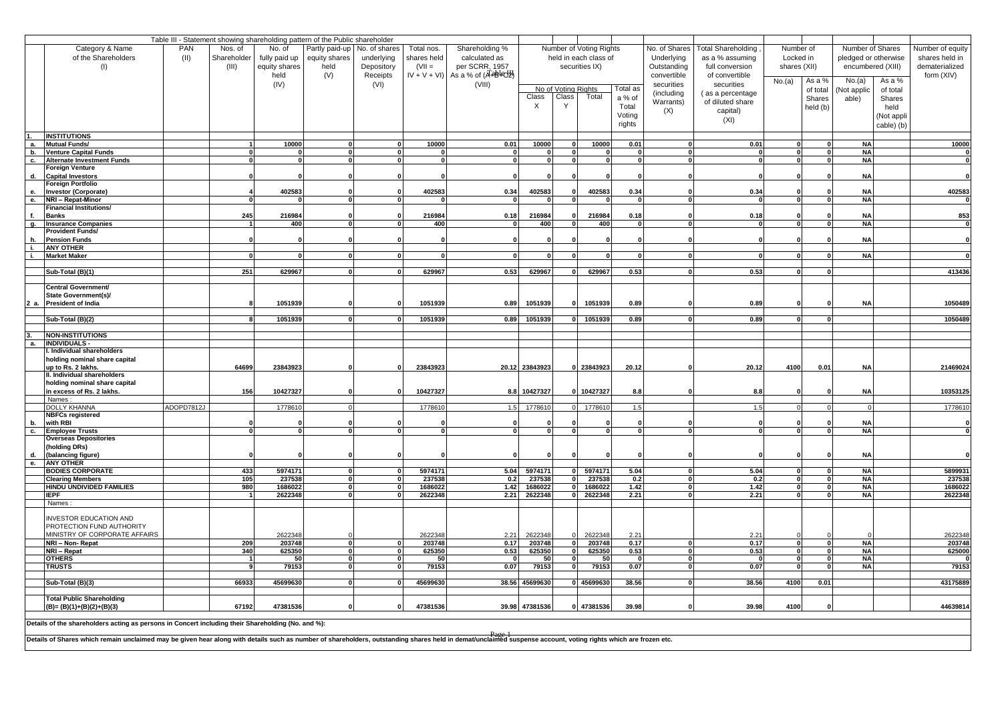|            |                                                                                                                                                                                                                |            |                      |                          | Table III - Statement showing shareholding pattern of the Public shareholder |                          |               |                     |                |                     |                         |            |               |                           |              |              |            |                      |                         |
|------------|----------------------------------------------------------------------------------------------------------------------------------------------------------------------------------------------------------------|------------|----------------------|--------------------------|------------------------------------------------------------------------------|--------------------------|---------------|---------------------|----------------|---------------------|-------------------------|------------|---------------|---------------------------|--------------|--------------|------------|----------------------|-------------------------|
|            | Category & Name                                                                                                                                                                                                | <b>PAN</b> | Nos. of              | No. of                   | Partly paid-up                                                               | No. of shares            | Total nos.    | Shareholding %      |                |                     | Number of Voting Rights |            | No. of Shares | <b>Total Shareholding</b> | Number of    |              |            | Number of Shares     | Number of equity        |
|            | of the Shareholders                                                                                                                                                                                            | (II)       | Shareholder          | fully paid up            | equity shares                                                                | underlying               | shares held   | calculated as       |                |                     | held in each class of   |            | Underlying    | as a % assuming           | Locked in    |              |            | pledged or otherwise | shares held in          |
|            | (1)                                                                                                                                                                                                            |            | (III)                | equity shares            | held                                                                         | Depository               | $(VII =$      | per SCRR, 1957      |                |                     | securities IX)          |            | Outstanding   | full conversion           | shares (XII) |              |            | encumbered (XIII)    | dematerialized          |
|            |                                                                                                                                                                                                                |            |                      | held                     | (V)                                                                          | Receipts                 | $IV + V + VI$ | As a % of (APBICLE) |                |                     |                         |            | convertible   | of convertible            |              |              |            |                      | form (XIV)              |
|            |                                                                                                                                                                                                                |            |                      | (IV)                     |                                                                              | (VI)                     |               | (VIII)              |                | No of Voting Rights |                         | Total as   | securities    | securities                | No.(a)       | As a %       | No.(a)     | As a %               |                         |
|            |                                                                                                                                                                                                                |            |                      |                          |                                                                              |                          |               |                     | Class          | Class               | Total                   | a % of     | (including    | (as a percentage          |              | of total     | Not applic | of total             |                         |
|            |                                                                                                                                                                                                                |            |                      |                          |                                                                              |                          |               |                     | $\times$       | Y                   |                         |            | Warrants)     | of diluted share          |              | Shares       | able)      | Shares               |                         |
|            |                                                                                                                                                                                                                |            |                      |                          |                                                                              |                          |               |                     |                |                     |                         | Total      | (X)           | capital)                  |              | held (b)     |            | held                 |                         |
|            |                                                                                                                                                                                                                |            |                      |                          |                                                                              |                          |               |                     |                |                     |                         | Voting     |               | (XI)                      |              |              |            | (Not appli           |                         |
|            |                                                                                                                                                                                                                |            |                      |                          |                                                                              |                          |               |                     |                |                     |                         | rights     |               |                           |              |              |            | cable) (b)           |                         |
|            | <b>INSTITUTIONS</b>                                                                                                                                                                                            |            |                      |                          |                                                                              |                          |               |                     |                |                     |                         |            |               |                           |              |              |            |                      |                         |
| а.         | <b>Mutual Funds/</b>                                                                                                                                                                                           |            |                      | 10000                    |                                                                              | $\Omega$                 | 10000         | 0.01                | 10000          |                     | 10000                   | 0.01       |               | 0.01                      |              | $\mathbf{0}$ | <b>NA</b>  |                      | 10000                   |
| <b>b</b> . | <b>Venture Capital Funds</b>                                                                                                                                                                                   |            | ΩI<br>ΩI             | $\Omega$<br>$\mathbf{r}$ | $\mathbf{r}$<br>$\mathbf{r}$                                                 | $\mathbf{r}$<br>$\Omega$ | 0             | $\mathbf{0}$        | $\Omega$       | n                   | $\Omega$                |            |               | $\mathbf{0}$              | $\mathbf{0}$ | 0            | <b>NA</b>  |                      | 0                       |
| с.         | <b>Alternate Investment Funds</b><br><b>Foreign Venture</b>                                                                                                                                                    |            |                      |                          |                                                                              |                          | $\mathbf{0}$  | $\mathbf{0}$        | $\Omega$       |                     | $\Omega$                |            |               | $\Omega$                  | $\Omega$     | $\mathbf{0}$ | <b>NA</b>  |                      | $\mathbf 0$             |
| d.         | <b>Capital Investors</b>                                                                                                                                                                                       |            |                      |                          |                                                                              |                          |               |                     |                |                     |                         |            |               |                           |              |              | <b>NA</b>  |                      | $\mathbf{0}$            |
|            | Foreign Portfolio                                                                                                                                                                                              |            |                      |                          |                                                                              |                          |               |                     |                |                     |                         |            |               |                           |              |              |            |                      |                         |
| е.         | <b>Investor (Corporate)</b>                                                                                                                                                                                    |            |                      | 402583                   |                                                                              |                          | 402583        | 0.34                | 402583         |                     | 402583                  | 0.34       |               | 0.34                      |              |              | <b>NA</b>  |                      | 402583                  |
| e.         | NRI - Repat-Minor                                                                                                                                                                                              |            | $\mathbf{0}$         |                          | 0                                                                            | $\mathbf{0}$             |               | $\mathbf{0}$        | $\bf{0}$       | $\mathbf{0}$        |                         |            |               |                           | $\mathbf{0}$ | $\mathbf{0}$ | <b>NA</b>  |                      | $\overline{\mathbf{0}}$ |
|            | Financial Institutions/                                                                                                                                                                                        |            |                      |                          |                                                                              |                          |               |                     |                |                     |                         |            |               |                           |              |              |            |                      |                         |
|            | <b>Banks</b>                                                                                                                                                                                                   |            | 245                  | 216984                   |                                                                              |                          | 216984        | 0.18                | 216984         |                     | 216984                  | 0.18       |               | 0.18                      |              |              | <b>NA</b>  |                      | 853                     |
| g.         | <b>Insurance Companies</b>                                                                                                                                                                                     |            | $\overline{1}$       | 400                      | n l                                                                          | $\mathbf{r}$             | 400           | $\Omega$            | 400            | $\mathbf{r}$        | 400                     | - 0        | $\mathbf{r}$  |                           |              | $\Omega$     | <b>NA</b>  |                      | $\bf{0}$                |
| h.         | Provident Funds/<br><b>Pension Funds</b>                                                                                                                                                                       |            |                      |                          |                                                                              |                          |               |                     |                |                     |                         | - 0        |               |                           |              |              | <b>NA</b>  |                      | $\mathbf 0$             |
| i.         | <b>ANY OTHER</b>                                                                                                                                                                                               |            |                      |                          |                                                                              |                          |               |                     |                |                     |                         |            |               |                           |              |              |            |                      |                         |
| i.         | <b>Market Maker</b>                                                                                                                                                                                            |            | $\Omega$             | $\mathbf{r}$             |                                                                              |                          | $\Omega$      | $\Omega$            | $\Omega$       | n                   |                         |            |               | $\Omega$                  |              | $\Omega$     | <b>NA</b>  |                      | $\overline{\mathbf{0}}$ |
|            |                                                                                                                                                                                                                |            |                      |                          |                                                                              |                          |               |                     |                |                     |                         |            |               |                           |              |              |            |                      |                         |
|            | Sub-Total (B)(1)                                                                                                                                                                                               |            | 251                  | 629967                   | $\Omega$                                                                     | $\mathbf{0}$             | 629967        | 0.53                | 629967         | οI                  | 629967                  | 0.53       | O             | 0.53                      | $\mathbf{0}$ | $\mathbf{0}$ |            |                      | 413436                  |
|            |                                                                                                                                                                                                                |            |                      |                          |                                                                              |                          |               |                     |                |                     |                         |            |               |                           |              |              |            |                      |                         |
|            | Central Government/                                                                                                                                                                                            |            |                      |                          |                                                                              |                          |               |                     |                |                     |                         |            |               |                           |              |              |            |                      |                         |
|            | State Government(s)/<br>President of India                                                                                                                                                                     |            |                      | 1051939                  |                                                                              |                          | 1051939       | 0.89                | 1051939        |                     | 1051939                 | 0.89       |               | 0.89                      |              |              | <b>NA</b>  |                      | 1050489                 |
|            |                                                                                                                                                                                                                |            |                      |                          |                                                                              |                          |               |                     |                |                     |                         |            |               |                           |              |              |            |                      |                         |
|            | Sub-Total (B)(2)                                                                                                                                                                                               |            |                      | 1051939                  | $\mathbf{r}$                                                                 |                          | 1051939       | 0.89                | 1051939        |                     | 1051939                 | 0.89       |               | 0.89                      |              | $\Omega$     |            |                      | 1050489                 |
|            |                                                                                                                                                                                                                |            |                      |                          |                                                                              |                          |               |                     |                |                     |                         |            |               |                           |              |              |            |                      |                         |
|            | <b>NON-INSTITUTIONS</b>                                                                                                                                                                                        |            |                      |                          |                                                                              |                          |               |                     |                |                     |                         |            |               |                           |              |              |            |                      |                         |
| а.         | <b>INDIVIDUALS -</b><br>. Individual shareholders                                                                                                                                                              |            |                      |                          |                                                                              |                          |               |                     |                |                     |                         |            |               |                           |              |              |            |                      |                         |
|            | holding nominal share capital                                                                                                                                                                                  |            |                      |                          |                                                                              |                          |               |                     |                |                     |                         |            |               |                           |              |              |            |                      |                         |
|            | up to Rs. 2 lakhs.                                                                                                                                                                                             |            | 64699                | 23843923                 |                                                                              |                          | 23843923      |                     | 20.12 23843923 |                     | 0 23843923              | 20.12      |               | 20.12                     | 4100         | 0.01         | <b>NA</b>  |                      | 21469024                |
|            | II. Individual shareholders                                                                                                                                                                                    |            |                      |                          |                                                                              |                          |               |                     |                |                     |                         |            |               |                           |              |              |            |                      |                         |
|            | holding nominal share capital                                                                                                                                                                                  |            |                      |                          |                                                                              |                          |               |                     |                |                     |                         |            |               |                           |              |              |            |                      |                         |
|            | in excess of Rs. 2 lakhs.                                                                                                                                                                                      |            | 156                  | 10427327                 |                                                                              |                          | 10427327      | 8.8                 | 10427327       |                     | 10427327                | 8.8        |               | 8.8                       |              |              | <b>NA</b>  |                      | 10353125                |
|            | Names:                                                                                                                                                                                                         | ADOPD7812J |                      |                          |                                                                              |                          |               |                     |                |                     |                         |            |               |                           |              |              |            |                      | 1778610                 |
|            | <b>DOLLY KHANNA</b><br><b>NBFCs registered</b>                                                                                                                                                                 |            |                      | 1778610                  |                                                                              |                          | 177861        | 1.5                 | 1778610        |                     | 1778610                 | 1.5        |               | 1.5                       |              |              |            |                      |                         |
| b.         | with RBI                                                                                                                                                                                                       |            |                      |                          |                                                                              |                          |               |                     |                |                     |                         |            |               |                           |              |              | <b>NA</b>  |                      | $\mathbf{0}$            |
| c.         | <b>Employee Trusts</b>                                                                                                                                                                                         |            | ΩI                   | $\mathbf{r}$             | $\mathbf{r}$                                                                 | $\mathbf{r}$             | $\mathbf{r}$  | $\mathbf{u}$        | $\mathbf 0$    | $\mathbf{0}$        | $\mathbf{r}$            | $\sqrt{2}$ |               | $\mathbf{a}$              | $\Omega$     | $\mathbf{0}$ | <b>NA</b>  |                      | $\mathbf 0$             |
|            | <b>Overseas Depositories</b>                                                                                                                                                                                   |            |                      |                          |                                                                              |                          |               |                     |                |                     |                         |            |               |                           |              |              |            |                      |                         |
|            | (holding DRs)                                                                                                                                                                                                  |            |                      |                          |                                                                              |                          |               |                     |                |                     |                         |            |               |                           |              |              |            |                      |                         |
| d.         | (balancing figure)                                                                                                                                                                                             |            |                      |                          |                                                                              |                          |               |                     |                |                     |                         |            |               |                           |              |              | <b>NA</b>  |                      | $\mathbf{0}$            |
| е.         | <b>ANY OTHER</b><br><b>BODIES CORPORATE</b>                                                                                                                                                                    |            | 433                  | 5974171                  |                                                                              |                          | 5974171       | 5.04                | 5974171        |                     | 5974171                 | 5.04       |               | 5.04                      |              |              | <b>NA</b>  |                      | 5899931                 |
|            | <b>Clearing Members</b>                                                                                                                                                                                        |            | 105                  | 237538                   |                                                                              |                          | 237538        | 0.2                 | 237538         |                     | 237538                  | 0.2        |               | 0.2                       |              |              | <b>NA</b>  |                      | 237538                  |
|            | HINDU UNDIVIDED FAMILIES                                                                                                                                                                                       |            | 980                  | 1686022                  | $\mathbf{r}$                                                                 |                          | 1686022       | 1.42                | 1686022        |                     | 1686022                 | 1.42       |               | 1.42                      |              |              | <b>NA</b>  |                      | 1686022                 |
|            | <b>IEPF</b>                                                                                                                                                                                                    |            | $\blacktriangleleft$ | 2622348                  | $\sqrt{2}$                                                                   |                          | 2622348       | 2.21                | 2622348        |                     | 2622348                 | 2.21       |               | 2.21                      |              |              | <b>NA</b>  |                      | 2622348                 |
|            | Names:                                                                                                                                                                                                         |            |                      |                          |                                                                              |                          |               |                     |                |                     |                         |            |               |                           |              |              |            |                      |                         |
|            | <b>INVESTOR EDUCATION AND</b>                                                                                                                                                                                  |            |                      |                          |                                                                              |                          |               |                     |                |                     |                         |            |               |                           |              |              |            |                      |                         |
|            | PROTECTION FUND AUTHORITY                                                                                                                                                                                      |            |                      |                          |                                                                              |                          |               |                     |                |                     |                         |            |               |                           |              |              |            |                      |                         |
|            | MINISTRY OF CORPORATE AFFAIRS                                                                                                                                                                                  |            |                      | 2622348                  |                                                                              |                          | 2622348       | 2.21                | 2622348        |                     | 2622348                 | 2.21       |               | 2.21                      |              |              |            |                      | 2622348                 |
|            | NRI - Non-Repat                                                                                                                                                                                                |            | 209                  | 203748                   | $\Omega$                                                                     | $\Omega$                 | 203748        | 0.17                | 203748         | $\mathbf{0}$        | 203748                  | 0.17       |               | 0.17                      | $\Omega$     | $\Omega$     | <b>NA</b>  |                      | 203748                  |
|            | NRI - Repat                                                                                                                                                                                                    |            | 340                  | 625350                   |                                                                              | $\Omega$                 | 625350        | 0.53                | 625350         | <sup>0</sup>        | 625350                  | 0.53       |               | 0.53                      | $\Omega$     |              | <b>NA</b>  |                      | 625000                  |
|            | <b>OTHERS</b>                                                                                                                                                                                                  |            | $\mathbf{1}$         | 50                       |                                                                              |                          | 50            | $\Omega$            | 50             | O                   | 50                      |            |               | $\Omega$                  |              |              | <b>NA</b>  |                      | $\mathbf 0$             |
|            | <b>TRUSTS</b>                                                                                                                                                                                                  |            | 9                    | 79153                    | $\mathbf{0}$                                                                 | $\mathbf{r}$             | 79153         | 0.07                | 79153          | $\mathbf{0}$        | 79153                   | 0.07       |               | 0.07                      |              | $\mathbf{0}$ | <b>NA</b>  |                      | 79153                   |
|            | Sub-Total (B)(3)                                                                                                                                                                                               |            | 66933                | 45699630                 | $\Omega$                                                                     | $\Omega$                 | 45699630      |                     | 38.56 45699630 |                     | 0 45699630              | 38.56      | $\mathbf{r}$  | 38.56                     | 4100         | 0.01         |            |                      | 43175889                |
|            |                                                                                                                                                                                                                |            |                      |                          |                                                                              |                          |               |                     |                |                     |                         |            |               |                           |              |              |            |                      |                         |
|            | <b>Total Public Shareholding</b>                                                                                                                                                                               |            |                      |                          |                                                                              |                          |               |                     |                |                     |                         |            |               |                           |              |              |            |                      |                         |
|            | $(B)=(B)(1)+(B)(2)+(B)(3)$                                                                                                                                                                                     |            | 67192                | 47381536                 |                                                                              | $\Omega$                 | 47381536      |                     | 39.98 47381536 |                     | 47381536                | 39.98      | $\Omega$      | 39.98                     | 4100         | $\mathbf{0}$ |            |                      | 44639814                |
|            |                                                                                                                                                                                                                |            |                      |                          |                                                                              |                          |               |                     |                |                     |                         |            |               |                           |              |              |            |                      |                         |
|            | Details of the shareholders acting as persons in Concert including their Shareholding (No. and %):                                                                                                             |            |                      |                          |                                                                              |                          |               |                     |                |                     |                         |            |               |                           |              |              |            |                      |                         |
|            | Details of Shares which remain unclaimed may be given hear along with details such as number of shareholders, outstanding shares held in demat/unclaimed suspense account, voting rights which are frozen etc. |            |                      |                          |                                                                              |                          |               |                     |                |                     |                         |            |               |                           |              |              |            |                      |                         |
|            |                                                                                                                                                                                                                |            |                      |                          |                                                                              |                          |               |                     |                |                     |                         |            |               |                           |              |              |            |                      |                         |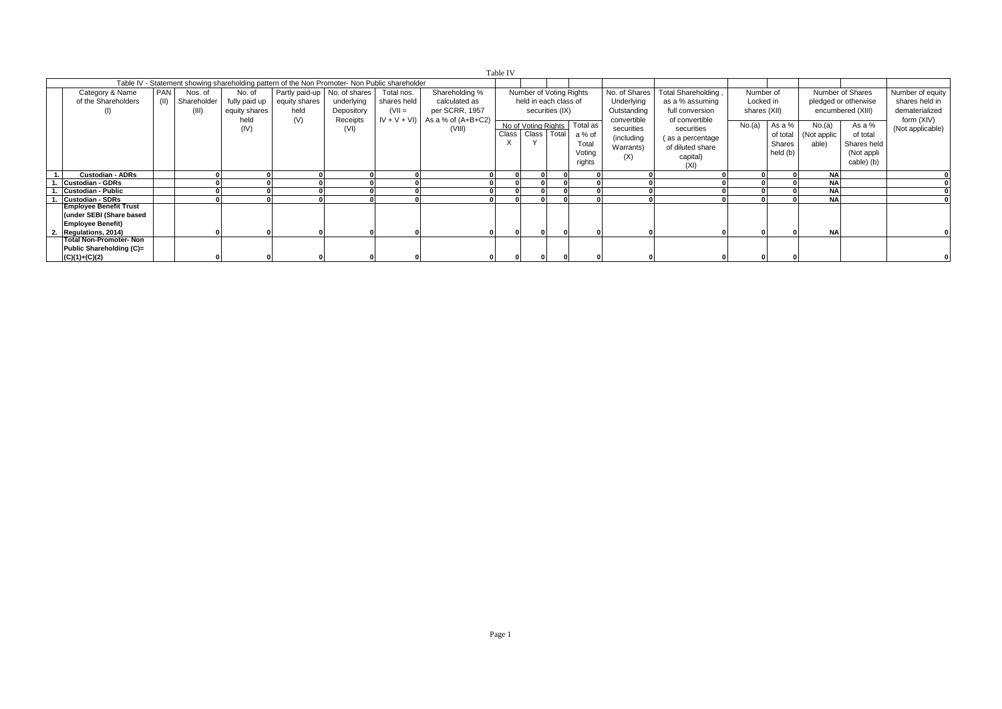| Table IV |                                                                                                      |                                                                                                                                                                                                                                                                                                                                                   |  |                                                                                               |     |                                            |                                                           |                                        |       |                                                               |              |                                                                     |                                                             |                                                                                          |        |                                          |                                |                                                               |                                |
|----------|------------------------------------------------------------------------------------------------------|---------------------------------------------------------------------------------------------------------------------------------------------------------------------------------------------------------------------------------------------------------------------------------------------------------------------------------------------------|--|-----------------------------------------------------------------------------------------------|-----|--------------------------------------------|-----------------------------------------------------------|----------------------------------------|-------|---------------------------------------------------------------|--------------|---------------------------------------------------------------------|-------------------------------------------------------------|------------------------------------------------------------------------------------------|--------|------------------------------------------|--------------------------------|---------------------------------------------------------------|--------------------------------|
|          |                                                                                                      |                                                                                                                                                                                                                                                                                                                                                   |  | Table IV - Statement showing shareholding pattern of the Non Promoter- Non Public shareholder |     |                                            |                                                           |                                        |       |                                                               |              |                                                                     |                                                             |                                                                                          |        |                                          |                                |                                                               |                                |
|          | Category & Name<br>of the Shareholders<br>(1)                                                        | PAN<br>Partly paid-up No. of shares<br>Shareholding %<br>Number of Voting Rights<br>No. of<br>Total nos.<br>Nos. of<br>held in each class of<br>fully paid up<br>underlying<br>shares held<br>calculated as<br>(II) Shareholder<br>equity shares<br>$(VII =$<br>per SCRR, 1957<br>securities (IX)<br>held<br>(III)<br>equity shares<br>Depository |  |                                                                                               |     | No. of Shares<br>Underlying<br>Outstanding | Total Shareholding,<br>as a % assuming<br>full conversion | Number of<br>Locked in<br>shares (XII) |       | Number of Shares<br>pledged or otherwise<br>encumbered (XIII) |              | Number of equity<br>shares held in<br>dematerialized                |                                                             |                                                                                          |        |                                          |                                |                                                               |                                |
|          |                                                                                                      |                                                                                                                                                                                                                                                                                                                                                   |  | held<br>(IV)                                                                                  | (V) | Receipts<br>(VI)                           | $IV + V + VI$                                             | As a % of $(A+B+C2)$<br>(VIII)         | Class | Class Total                                                   |              | No of Voting Rights Total as<br>a % of<br>Total<br>Voting<br>rights | convertible<br>securities<br>(including<br>Warrants)<br>(X) | of convertible<br>securities<br>(as a percentage<br>of diluted share<br>capital)<br>(XI) | No.(a) | As a %<br>of total<br>Shares<br>held (b) | No.(a)<br>(Not applic<br>able) | As a %<br>of total<br>Shares held<br>(Not appli<br>cable) (b) | form (XIV)<br>(Not applicable) |
|          | <b>Custodian - ADRs</b>                                                                              |                                                                                                                                                                                                                                                                                                                                                   |  |                                                                                               |     |                                            |                                                           |                                        | οI    |                                                               | $\Omega$     |                                                                     |                                                             |                                                                                          |        | οI                                       | <b>NA</b>                      |                                                               |                                |
|          | Custodian - GDRs                                                                                     |                                                                                                                                                                                                                                                                                                                                                   |  |                                                                                               |     |                                            |                                                           |                                        |       |                                                               |              |                                                                     |                                                             |                                                                                          |        |                                          | <b>NA</b>                      |                                                               |                                |
|          | <b>Custodian - Public</b>                                                                            |                                                                                                                                                                                                                                                                                                                                                   |  |                                                                                               |     |                                            |                                                           |                                        |       |                                                               |              |                                                                     |                                                             |                                                                                          |        |                                          | <b>NA</b>                      |                                                               |                                |
|          | <b>Custodian - SDRs</b>                                                                              |                                                                                                                                                                                                                                                                                                                                                   |  |                                                                                               |     |                                            |                                                           |                                        |       |                                                               |              |                                                                     |                                                             |                                                                                          |        |                                          | <b>NA</b>                      |                                                               |                                |
|          | Employee Benefit Trust<br>(under SEBI (Share based<br><b>Employee Benefit)</b><br>Regulations, 2014) |                                                                                                                                                                                                                                                                                                                                                   |  |                                                                                               |     |                                            |                                                           |                                        | 0     |                                                               | $\mathbf{0}$ |                                                                     |                                                             |                                                                                          |        |                                          | <b>NA</b>                      |                                                               |                                |
|          | <b>Total Non-Promoter- Non</b><br>Public Shareholding (C)=<br>$(C)(1)+(C)(2)$                        |                                                                                                                                                                                                                                                                                                                                                   |  |                                                                                               |     |                                            |                                                           |                                        |       |                                                               |              |                                                                     |                                                             |                                                                                          |        |                                          |                                |                                                               |                                |